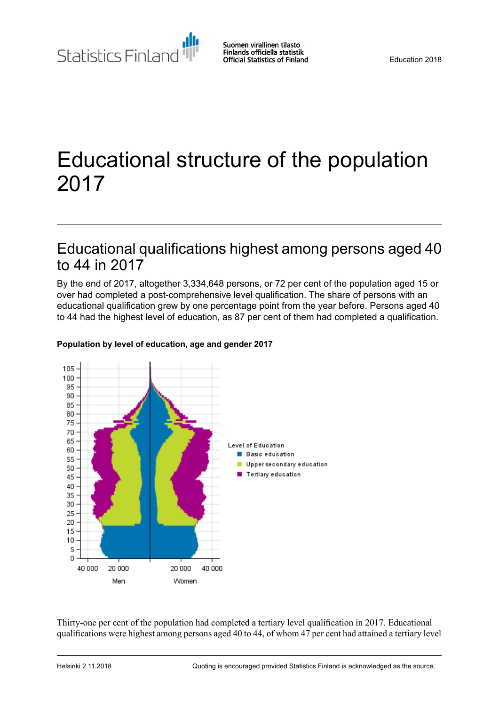Statistics Finland

# Educational structure of the population 2017

### Educational qualifications highest among persons aged 40 to 44 in 2017

By the end of 2017, altogether 3,334,648 persons, or 72 per cent of the population aged 15 or over had completed a post-comprehensive level qualification. The share of persons with an educational qualification grew by one percentage point from the year before. Persons aged 40 to 44 had the highest level of education, as 87 per cent of them had completed a qualification.



#### **Population by level of education, age and gender 2017**

Thirty-one per cent of the population had completed a tertiary level qualification in 2017. Educational qualifications were highest among persons aged 40 to 44, of whom 47 per cent had attained a tertiary level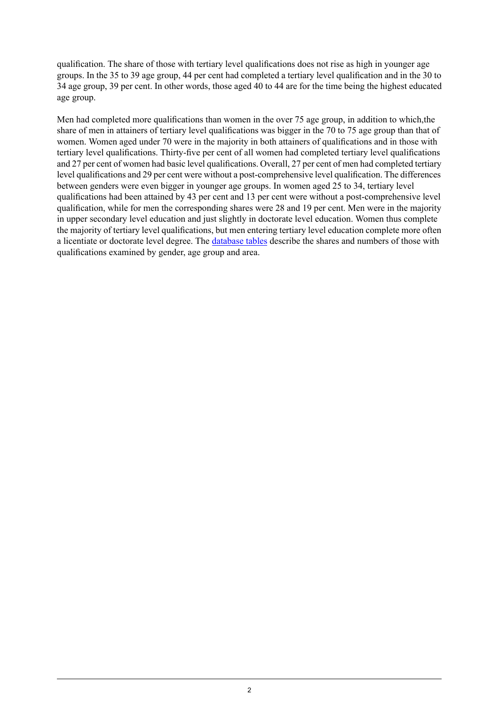qualification. The share of those with tertiary level qualifications does not rise as high in younger age groups. In the 35 to 39 age group, 44 per cent had completed a tertiary level qualification and in the 30 to 34 age group, 39 per cent. In other words, those aged 40 to 44 are for the time being the highest educated age group.

Men had completed more qualifications than women in the over 75 age group, in addition to which,the share of men in attainers of tertiary level qualifications was bigger in the 70 to 75 age group than that of women. Women aged under 70 were in the majority in both attainers of qualifications and in those with tertiary level qualifications. Thirty-five per cent of all women had completed tertiary level qualifications and 27 per cent of women had basic level qualifications. Overall, 27 per cent of men had completed tertiary level qualifications and 29 per cent were without a post-comprehensive level qualification. The differences between genders were even bigger in younger age groups. In women aged 25 to 34, tertiary level qualifications had been attained by 43 per cent and 13 per cent were without a post-comprehensive level qualification, while for men the corresponding shares were 28 and 19 per cent. Men were in the majority in upper secondary level education and just slightly in doctorate level education. Women thus complete the majority of tertiary level qualifications, but men entering tertiary level education complete more often a licentiate or doctorate level degree. The [database](http://pxnet2.stat.fi/PXWeb/pxweb/fi/StatFin/StatFin__kou__vkour/?tablelist=true) tables describe the shares and numbers of those with qualifications examined by gender, age group and area.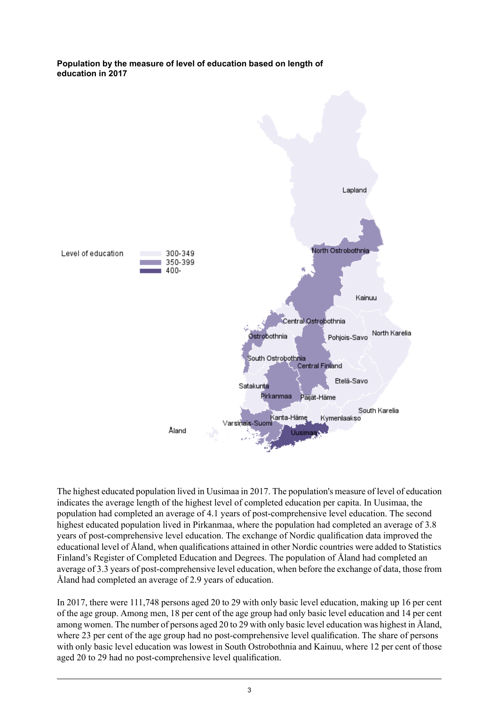#### **Population by the measure of level of education based on length of education in 2017**



The highest educated population lived in Uusimaa in 2017. The population's measure of level of education indicates the average length of the highest level of completed education per capita. In Uusimaa, the population had completed an average of 4.1 years of post-comprehensive level education. The second highest educated population lived in Pirkanmaa, where the population had completed an average of 3.8 years of post-comprehensive level education. The exchange of Nordic qualification data improved the educational level of Åland, when qualifications attained in other Nordic countries were added to Statistics Finland's Register of Completed Education and Degrees. The population of Åland had completed an average of 3.3 years of post-comprehensive level education, when before the exchange of data, those from Åland had completed an average of 2.9 years of education.

In 2017, there were 111,748 persons aged 20 to 29 with only basic level education, making up 16 per cent of the age group. Among men, 18 per cent of the age group had only basic level education and 14 per cent among women. The number of persons aged 20 to 29 with only basic level education was highest in Åland, where 23 per cent of the age group had no post-comprehensive level qualification. The share of persons with only basic level education was lowest in South Ostrobothnia and Kainuu, where 12 per cent of those aged 20 to 29 had no post-comprehensive level qualification.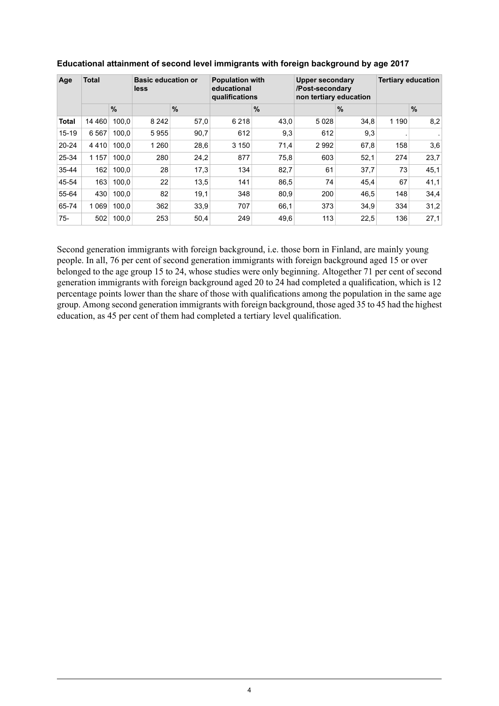| Age          | <b>Total</b> |       | <b>Basic education or</b><br>less |               | <b>Population with</b><br>educational<br>qualifications |      | Upper secondary<br>/Post-secondary<br>non tertiary education |               | <b>Tertiary education</b> |      |
|--------------|--------------|-------|-----------------------------------|---------------|---------------------------------------------------------|------|--------------------------------------------------------------|---------------|---------------------------|------|
|              |              | %     |                                   | $\frac{9}{6}$ |                                                         | %    |                                                              | $\frac{9}{6}$ |                           | %    |
| <b>Total</b> | 14 4 6 0     | 100,0 | 8 2 4 2                           | 57,0          | 6 2 1 8                                                 | 43,0 | 5028                                                         | 34,8          | 1 1 9 0                   | 8,2  |
| $15 - 19$    | 6 5 6 7      | 100.0 | 5955                              | 90,7          | 612                                                     | 9,3  | 612                                                          | 9,3           |                           |      |
| $20 - 24$    | 4410         | 100.0 | 1 2 6 0                           | 28,6          | 3 1 5 0                                                 | 71,4 | 2992                                                         | 67,8          | 158                       | 3,6  |
| 25-34        | 1 1 5 7      | 100.0 | 280                               | 24,2          | 877                                                     | 75,8 | 603                                                          | 52,1          | 274                       | 23,7 |
| 35-44        | 162          | 100.0 | 28                                | 17,3          | 134                                                     | 82,7 | 61                                                           | 37,7          | 73                        | 45.1 |
| 45-54        | 163          | 100.0 | 22                                | 13,5          | 141                                                     | 86,5 | 74                                                           | 45,4          | 67                        | 41,1 |
| 55-64        | 430          | 100.0 | 82                                | 19,1          | 348                                                     | 80,9 | 200                                                          | 46,5          | 148                       | 34,4 |
| 65-74        | 1 0 6 9      | 100.0 | 362                               | 33.9          | 707                                                     | 66,1 | 373                                                          | 34,9          | 334                       | 31,2 |
| $75-$        | 502          | 100,0 | 253                               | 50,4          | 249                                                     | 49,6 | 113                                                          | 22,5          | 136                       | 27,1 |

### **Educational attainment of second level immigrants with foreign background by age 2017**

Second generation immigrants with foreign background, i.e. those born in Finland, are mainly young people. In all, 76 per cent of second generation immigrants with foreign background aged 15 or over belonged to the age group 15 to 24, whose studies were only beginning. Altogether 71 per cent of second generation immigrants with foreign background aged 20 to 24 had completed a qualification, which is 12 percentage points lower than the share of those with qualifications among the population in the same age group. Among second generation immigrants with foreign background, those aged 35 to 45 had the highest education, as 45 per cent of them had completed a tertiary level qualification.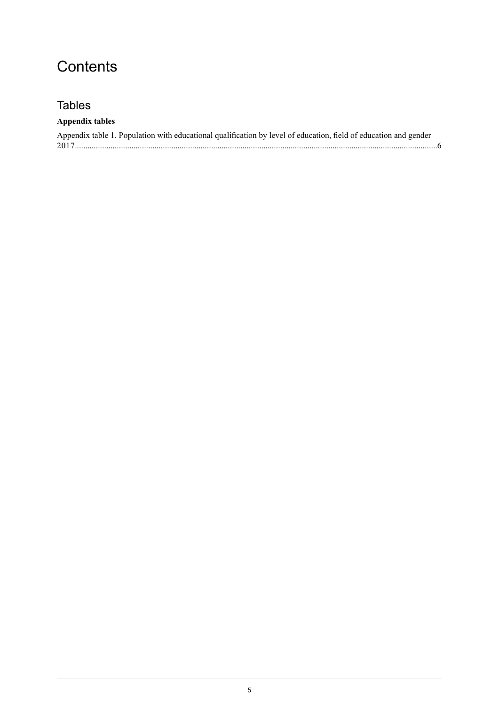## **Contents**

### **Tables**

### **Appendix tables**

| Appendix table 1. Population with educational qualification by level of education, field of education and gender |  |
|------------------------------------------------------------------------------------------------------------------|--|
|                                                                                                                  |  |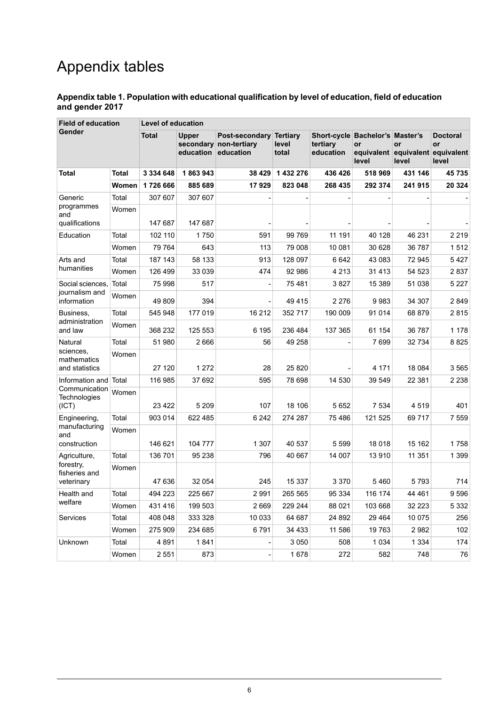# Appendix tables

#### <span id="page-5-0"></span>**Appendix table 1. Population with educational qualification by level of education, field of education and gender 2017**

| <b>Field of education</b>                  |              | <b>Level of education</b> |                                     |                                          |                                   |                                                          |                                                        |             |                                       |  |
|--------------------------------------------|--------------|---------------------------|-------------------------------------|------------------------------------------|-----------------------------------|----------------------------------------------------------|--------------------------------------------------------|-------------|---------------------------------------|--|
| Gender                                     |              | <b>Total</b>              | <b>Upper</b><br>education education | Post-secondary<br>secondary non-tertiary | <b>Tertiary</b><br>level<br>total | Short-cycle Bachelor's Master's<br>tertiary<br>education | <b>or</b><br>equivalent equivalent equivalent<br>level | or<br>level | <b>Doctoral</b><br><b>or</b><br>level |  |
| <b>Total</b>                               | <b>Total</b> | 3 3 3 4 6 4 8             | 1863943                             | 38 4 29                                  | 1 432 276                         | 436 426                                                  | 518 969                                                | 431 146     | 45 735                                |  |
|                                            | Women        | 1726 666                  | 885 689                             | 17929                                    | 823 048                           | 268 435                                                  | 292 374                                                | 241 915     | 20 324                                |  |
| Generic                                    | Total        | 307 607                   | 307 607                             |                                          |                                   |                                                          |                                                        |             |                                       |  |
| programmes<br>and                          | Women        |                           |                                     |                                          |                                   |                                                          |                                                        |             |                                       |  |
| qualifications                             |              | 147 687                   | 147 687                             |                                          |                                   |                                                          |                                                        |             |                                       |  |
| Education                                  | Total        | 102 110                   | 1750                                | 591                                      | 99 769                            | 11 191                                                   | 40 128                                                 | 46 231      | 2 2 1 9                               |  |
|                                            | Women        | 79 764                    | 643                                 | 113                                      | 79 008                            | 10 081                                                   | 30 628                                                 | 36 787      | 1512                                  |  |
| Arts and                                   | Total        | 187 143                   | 58 133                              | 913                                      | 128 097                           | 6642                                                     | 43 083                                                 | 72 945      | 5427                                  |  |
| humanities                                 | Women        | 126 499                   | 33 039                              | 474                                      | 92 986                            | 4 2 1 3                                                  | 31 4 13                                                | 54 523      | 2837                                  |  |
| Social sciences.                           | Total        | 75 998                    | 517                                 |                                          | 75481                             | 3827                                                     | 15 389                                                 | 51 038      | 5 2 2 7                               |  |
| journalism and<br>information              | Women        | 49809                     | 394                                 |                                          | 49415                             | 2 2 7 6                                                  | 9983                                                   | 34 307      | 2849                                  |  |
| Business,                                  | Total        | 545 948                   | 177 019                             | 16 212                                   | 352 717                           | 190 009                                                  | 91 014                                                 | 68 879      | 2815                                  |  |
| administration<br>and law                  | Women        | 368 232                   | 125 553                             | 6 1 9 5                                  | 236 484                           | 137 365                                                  | 61 154                                                 | 36 787      | 1 1 7 8                               |  |
| Natural                                    | Total        | 51 980                    | 2666                                | 56                                       | 49 258                            |                                                          | 7699                                                   | 32 734      | 8825                                  |  |
| sciences.<br>mathematics<br>and statistics | Women        | 27 120                    | 1 2 7 2                             | 28                                       | 25 8 20                           |                                                          | 4 1 7 1                                                | 18 0 84     | 3565                                  |  |
| Information and                            | Total        | 116 985                   | 37 692                              | 595                                      | 78 698                            | 14 530                                                   | 39 549                                                 | 22 381      | 2 2 3 8                               |  |
| Communication<br>Technologies<br>(ICT)     | Women        | 23 4 22                   | 5 2 0 9                             | 107                                      | 18 106                            | 5652                                                     | 7 5 3 4                                                | 4519        | 401                                   |  |
| Engineering,                               | Total        | 903 014                   | 622 485                             | 6 2 4 2                                  | 274 287                           | 75486                                                    | 121 525                                                | 69 717      | 7 5 5 9                               |  |
| manufacturing<br>and<br>construction       | Women        | 146 621                   | 104 777                             | 1 307                                    | 40 537                            | 5 5 9 9                                                  | 18 0 18                                                | 15 162      | 1758                                  |  |
| Agriculture,                               | Total        | 136 701                   | 95 238                              | 796                                      | 40 667                            | 14 007                                                   | 13910                                                  | 11 351      | 1 3 9 9                               |  |
| forestry,<br>fisheries and                 | Women        |                           |                                     |                                          |                                   |                                                          |                                                        |             |                                       |  |
| veterinary                                 |              | 47 636                    | 32 054                              | 245                                      | 15 3 37                           | 3 3 7 0                                                  | 5 4 6 0                                                | 5793        | 714                                   |  |
| Health and<br>welfare                      | Total        | 494 223                   | 225 667                             | 2991                                     | 265 565                           | 95 334                                                   | 116 174                                                | 44 461      | 9596                                  |  |
|                                            | Women        | 431416                    | 199 503                             | 2 6 6 9                                  | 229 244                           | 88 0 21                                                  | 103 668                                                | 32 2 2 3    | 5 3 3 2                               |  |
| Services                                   | Total        | 408 048                   | 333 328                             | 10 033                                   | 64 687                            | 24 892                                                   | 29 4 64                                                | 10 075      | 256                                   |  |
|                                            | Women        | 275 909                   | 234 685                             | 6791                                     | 34 4 33                           | 11 586                                                   | 19763                                                  | 2982        | 102                                   |  |
| Unknown                                    | Total        | 4891                      | 1841                                |                                          | 3 0 5 0                           | 508                                                      | 1 0 3 4                                                | 1 3 3 4     | 174                                   |  |
|                                            | Women        | 2 5 5 1                   | 873                                 | $\qquad \qquad \blacksquare$             | 1678                              | 272                                                      | 582                                                    | 748         | 76                                    |  |